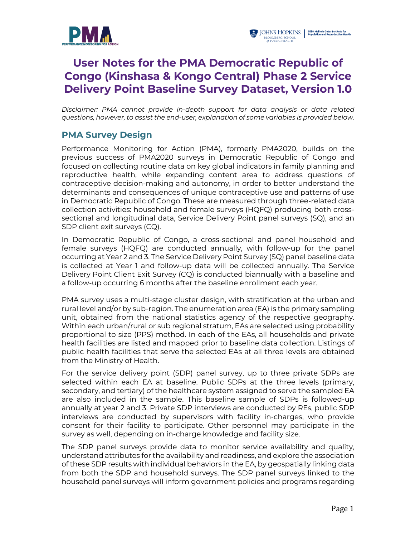

# **User Notes for the PMA Democratic Republic of Congo (Kinshasa & Kongo Central) Phase 2 Service Delivery Point Baseline Survey Dataset, Version 1.0**

*Disclaimer: PMA cannot provide in-depth support for data analysis or data related questions, however, to assist the end-user, explanation of some variables is provided below.*

# **PMA Survey Design**

Performance Monitoring for Action (PMA), formerly PMA2020, builds on the previous success of PMA2020 surveys in Democratic Republic of Congo and focused on collecting routine data on key global indicators in family planning and reproductive health, while expanding content area to address questions of contraceptive decision-making and autonomy, in order to better understand the determinants and consequences of unique contraceptive use and patterns of use in Democratic Republic of Congo. These are measured through three-related data collection activities: household and female surveys (HQFQ) producing both crosssectional and longitudinal data, Service Delivery Point panel surveys (SQ), and an SDP client exit surveys (CQ).

In Democratic Republic of Congo, a cross-sectional and panel household and female surveys (HQFQ) are conducted annually, with follow-up for the panel occurring at Year 2 and 3. The Service Delivery Point Survey (SQ) panel baseline data is collected at Year 1 and follow-up data will be collected annually. The Service Delivery Point Client Exit Survey (CQ) is conducted biannually with a baseline and a follow-up occurring 6 months after the baseline enrollment each year.

PMA survey uses a multi-stage cluster design, with stratification at the urban and rural level and/or by sub-region. The enumeration area (EA) is the primary sampling unit, obtained from the national statistics agency of the respective geography. Within each urban/rural or sub regional stratum, EAs are selected using probability proportional to size (PPS) method. In each of the EAs, all households and private health facilities are listed and mapped prior to baseline data collection. Listings of public health facilities that serve the selected EAs at all three levels are obtained from the Ministry of Health.

For the service delivery point (SDP) panel survey, up to three private SDPs are selected within each EA at baseline. Public SDPs at the three levels (primary, secondary, and tertiary) of the healthcare system assigned to serve the sampled EA are also included in the sample. This baseline sample of SDPs is followed-up annually at year 2 and 3. Private SDP interviews are conducted by REs, public SDP interviews are conducted by supervisors with facility in-charges, who provide consent for their facility to participate. Other personnel may participate in the survey as well, depending on in-charge knowledge and facility size.

The SDP panel surveys provide data to monitor service availability and quality, understand attributes for the availability and readiness, and explore the association of these SDP results with individual behaviors in the EA, by geospatially linking data from both the SDP and household surveys. The SDP panel surveys linked to the household panel surveys will inform government policies and programs regarding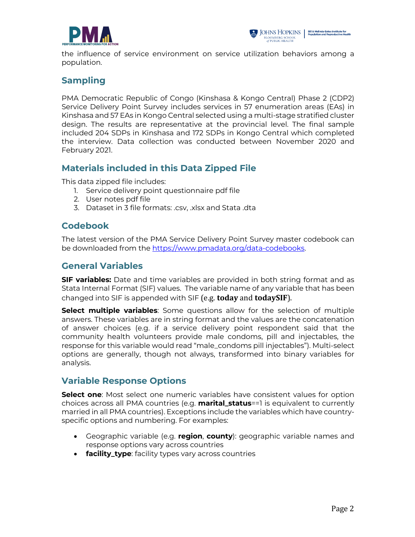



the influence of service environment on service utilization behaviors among a population.

# **Sampling**

PMA Democratic Republic of Congo (Kinshasa & Kongo Central) Phase 2 (CDP2) Service Delivery Point Survey includes services in 57 enumeration areas (EAs) in Kinshasa and 57 EAs in Kongo Central selected using a multi-stage stratified cluster design. The results are representative at the provincial level. The final sample included 204 SDPs in Kinshasa and 172 SDPs in Kongo Central which completed the interview. Data collection was conducted between November 2020 and February 2021.

## **Materials included in this Data Zipped File**

This data zipped file includes:

- 1. Service delivery point questionnaire pdf file
- 2. User notes pdf file
- 3. Dataset in 3 file formats: .csv, .xlsx and Stata .dta

## **Codebook**

The latest version of the PMA Service Delivery Point Survey master codebook can be downloaded from the https://www.pmadata.org/data-codebooks.

## **General Variables**

**SIF variables:** Date and time variables are provided in both string format and as Stata Internal Format (SIF) values. The variable name of any variable that has been changed into SIF is appended with SIF (e.g. **today** and **todaySIF**).

**Select multiple variables**: Some questions allow for the selection of multiple answers. These variables are in string format and the values are the concatenation of answer choices (e.g. if a service delivery point respondent said that the community health volunteers provide male condoms, pill and injectables, the response for this variable would read "male\_condoms pill injectables"). Multi-select options are generally, though not always, transformed into binary variables for analysis.

## **Variable Response Options**

**Select one**: Most select one numeric variables have consistent values for option choices across all PMA countries (e.g. **marital\_status**==1 is equivalent to currently married in all PMA countries). Exceptions include the variables which have countryspecific options and numbering. For examples:

- Geographic variable (e.g. **region**, **county**): geographic variable names and response options vary across countries
- **facility\_type**: facility types vary across countries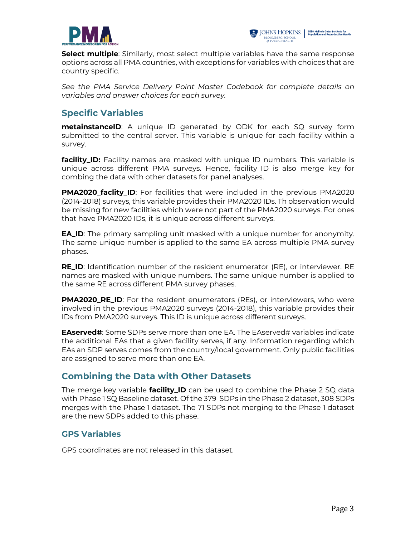



**Select multiple**: Similarly, most select multiple variables have the same response options across all PMA countries, with exceptions for variables with choices that are country specific.

*See the PMA Service Delivery Point Master Codebook for complete details on variables and answer choices for each survey.*

# **Specific Variables**

**metainstanceID**: A unique ID generated by ODK for each SQ survey form submitted to the central server. This variable is unique for each facility within a survey.

**facility\_ID:** Facility names are masked with unique ID numbers. This variable is unique across different PMA surveys. Hence, facility\_ID is also merge key for combing the data with other datasets for panel analyses.

**PMA2020\_faclity\_ID**: For facilities that were included in the previous PMA2020 (2014-2018) surveys, this variable provides their PMA2020 IDs. Th observation would be missing for new facilities which were not part of the PMA2020 surveys. For ones that have PMA2020 IDs, it is unique across different surveys.

**EA\_ID**: The primary sampling unit masked with a unique number for anonymity. The same unique number is applied to the same EA across multiple PMA survey phases.

**RE\_ID**: Identification number of the resident enumerator (RE), or interviewer. RE names are masked with unique numbers. The same unique number is applied to the same RE across different PMA survey phases.

**PMA2020\_RE\_ID**: For the resident enumerators (REs), or interviewers, who were involved in the previous PMA2020 surveys (2014-2018), this variable provides their IDs from PMA2020 surveys. This ID is unique across different surveys.

**EAserved#:** Some SDPs serve more than one EA. The EAserved# variables indicate the additional EAs that a given facility serves, if any. Information regarding which EAs an SDP serves comes from the country/local government. Only public facilities are assigned to serve more than one EA.

## **Combining the Data with Other Datasets**

The merge key variable **facility\_ID** can be used to combine the Phase 2 SQ data with Phase 1 SQ Baseline dataset. Of the 379 SDPs in the Phase 2 dataset, 308 SDPs merges with the Phase 1 dataset. The 71 SDPs not merging to the Phase 1 dataset are the new SDPs added to this phase.

## **GPS Variables**

GPS coordinates are not released in this dataset.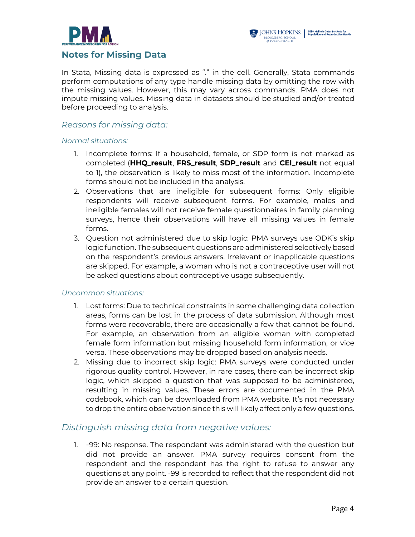



In Stata, Missing data is expressed as "." in the cell. Generally, Stata commands perform computations of any type handle missing data by omitting the row with the missing values. However, this may vary across commands. PMA does not impute missing values. Missing data in datasets should be studied and/or treated before proceeding to analysis.

#### *Reasons for missing data:*

#### *Normal situations:*

- 1. Incomplete forms: If a household, female, or SDP form is not marked as completed (**HHQ\_result**, **FRS\_result**, **SDP\_resu**l**t** and **CEI\_result** not equal to 1), the observation is likely to miss most of the information. Incomplete forms should not be included in the analysis.
- 2. Observations that are ineligible for subsequent forms: Only eligible respondents will receive subsequent forms. For example, males and ineligible females will not receive female questionnaires in family planning surveys, hence their observations will have all missing values in female forms.
- 3. Question not administered due to skip logic: PMA surveys use ODK's skip logic function. The subsequent questions are administered selectively based on the respondent's previous answers. Irrelevant or inapplicable questions are skipped. For example, a woman who is not a contraceptive user will not be asked questions about contraceptive usage subsequently.

#### *Uncommon situations:*

- 1. Lost forms: Due to technical constraints in some challenging data collection areas, forms can be lost in the process of data submission. Although most forms were recoverable, there are occasionally a few that cannot be found. For example, an observation from an eligible woman with completed female form information but missing household form information, or vice versa. These observations may be dropped based on analysis needs.
- 2. Missing due to incorrect skip logic: PMA surveys were conducted under rigorous quality control. However, in rare cases, there can be incorrect skip logic, which skipped a question that was supposed to be administered, resulting in missing values. These errors are documented in the PMA codebook, which can be downloaded from PMA website. It's not necessary to drop the entire observation since this will likely affect only a few questions.

#### *Distinguish missing data from negative values:*

1. -99: No response. The respondent was administered with the question but did not provide an answer. PMA survey requires consent from the respondent and the respondent has the right to refuse to answer any questions at any point. -99 is recorded to reflect that the respondent did not provide an answer to a certain question.